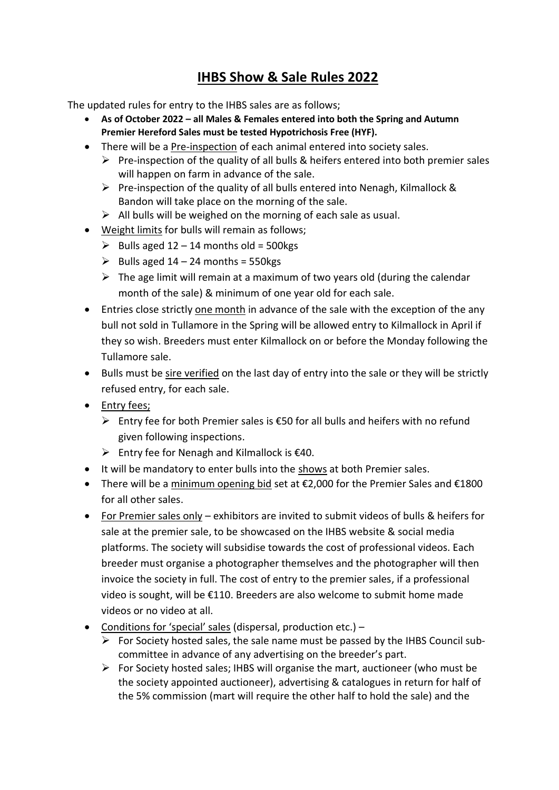## **IHBS Show & Sale Rules 2022**

The updated rules for entry to the IHBS sales are as follows;

- **As of October 2022 – all Males & Females entered into both the Spring and Autumn Premier Hereford Sales must be tested Hypotrichosis Free (HYF).**
- There will be a Pre-inspection of each animal entered into society sales.
	- $\triangleright$  Pre-inspection of the quality of all bulls & heifers entered into both premier sales will happen on farm in advance of the sale.
	- $\triangleright$  Pre-inspection of the quality of all bulls entered into Nenagh, Kilmallock & Bandon will take place on the morning of the sale.
	- $\triangleright$  All bulls will be weighed on the morning of each sale as usual.
- Weight limits for bulls will remain as follows;
	- $\geq$  Bulls aged 12 14 months old = 500 kgs
	- $\triangleright$  Bulls aged 14 24 months = 550kgs
	- $\triangleright$  The age limit will remain at a maximum of two years old (during the calendar month of the sale) & minimum of one year old for each sale.
- Entries close strictly one month in advance of the sale with the exception of the any bull not sold in Tullamore in the Spring will be allowed entry to Kilmallock in April if they so wish. Breeders must enter Kilmallock on or before the Monday following the Tullamore sale.
- Bulls must be sire verified on the last day of entry into the sale or they will be strictly refused entry, for each sale.
- Entry fees:
	- ➢ Entry fee for both Premier sales is €50 for all bulls and heifers with no refund given following inspections.
	- $\triangleright$  Entry fee for Nenagh and Kilmallock is  $\epsilon$ 40.
- It will be mandatory to enter bulls into the shows at both Premier sales.
- There will be a minimum opening bid set at €2,000 for the Premier Sales and €1800 for all other sales.
- For Premier sales only exhibitors are invited to submit videos of bulls & heifers for sale at the premier sale, to be showcased on the IHBS website & social media platforms. The society will subsidise towards the cost of professional videos. Each breeder must organise a photographer themselves and the photographer will then invoice the society in full. The cost of entry to the premier sales, if a professional video is sought, will be €110. Breeders are also welcome to submit home made videos or no video at all.
- Conditions for 'special' sales (dispersal, production etc.)
	- $\triangleright$  For Society hosted sales, the sale name must be passed by the IHBS Council subcommittee in advance of any advertising on the breeder's part.
	- $\triangleright$  For Society hosted sales; IHBS will organise the mart, auctioneer (who must be the society appointed auctioneer), advertising & catalogues in return for half of the 5% commission (mart will require the other half to hold the sale) and the